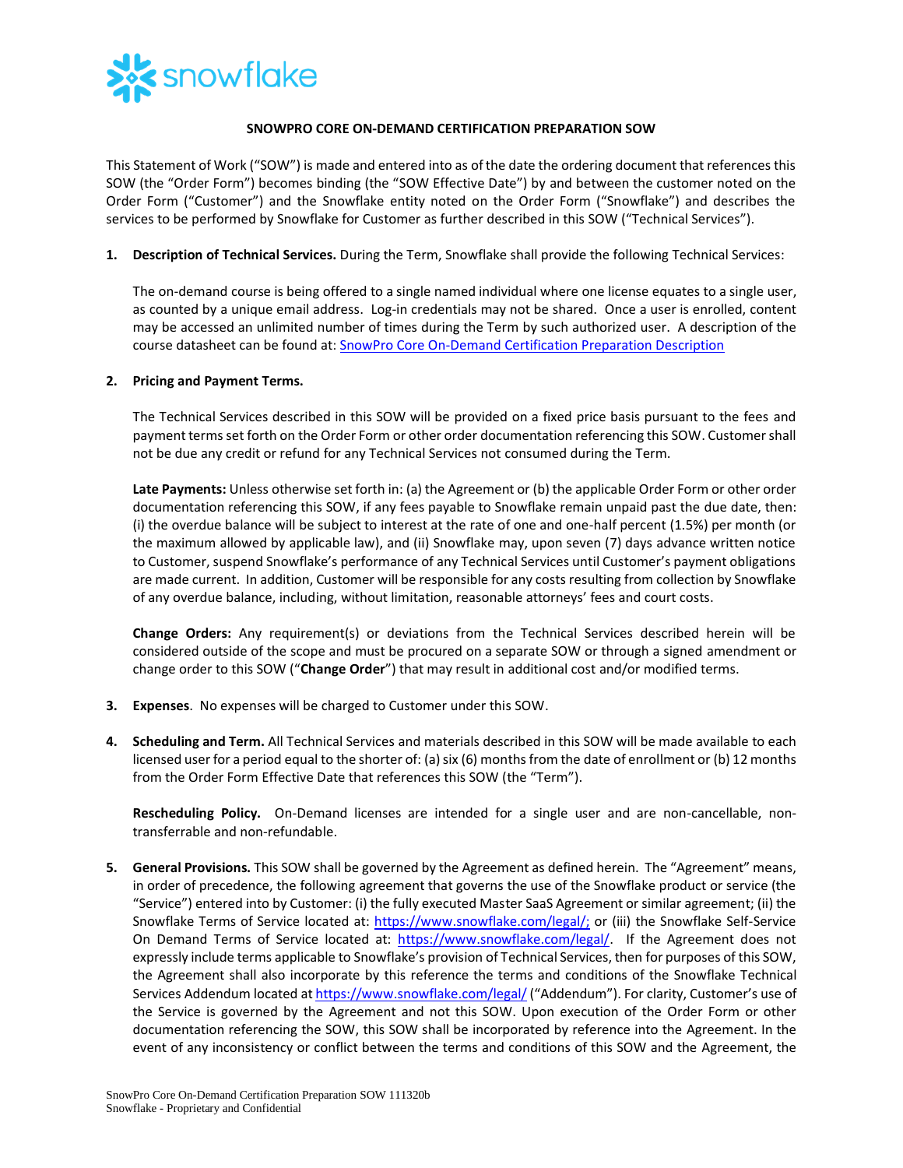

## **SNOWPRO CORE ON-DEMAND CERTIFICATION PREPARATION SOW**

This Statement of Work ("SOW") is made and entered into as of the date the ordering document that references this SOW (the "Order Form") becomes binding (the "SOW Effective Date") by and between the customer noted on the Order Form ("Customer") and the Snowflake entity noted on the Order Form ("Snowflake") and describes the services to be performed by Snowflake for Customer as further described in this SOW ("Technical Services").

**1. Description of Technical Services.** During the Term, Snowflake shall provide the following Technical Services:

The on-demand course is being offered to a single named individual where one license equates to a single user, as counted by a unique email address. Log-in credentials may not be shared. Once a user is enrolled, content may be accessed an unlimited number of times during the Term by such authorized user. A description of the course datasheet can be found at: [SnowPro Core On-Demand Certification Preparation](https://bit.ly/SnowProPrepOD-datasheet) Description

## **2. Pricing and Payment Terms.**

The Technical Services described in this SOW will be provided on a fixed price basis pursuant to the fees and payment terms set forth on the Order Form or other order documentation referencing this SOW. Customer shall not be due any credit or refund for any Technical Services not consumed during the Term.

**Late Payments:** Unless otherwise set forth in: (a) the Agreement or (b) the applicable Order Form or other order documentation referencing this SOW, if any fees payable to Snowflake remain unpaid past the due date, then: (i) the overdue balance will be subject to interest at the rate of one and one-half percent (1.5%) per month (or the maximum allowed by applicable law), and (ii) Snowflake may, upon seven (7) days advance written notice to Customer, suspend Snowflake's performance of any Technical Services until Customer's payment obligations are made current. In addition, Customer will be responsible for any costs resulting from collection by Snowflake of any overdue balance, including, without limitation, reasonable attorneys' fees and court costs.

**Change Orders:** Any requirement(s) or deviations from the Technical Services described herein will be considered outside of the scope and must be procured on a separate SOW or through a signed amendment or change order to this SOW ("**Change Order**") that may result in additional cost and/or modified terms.

- **3. Expenses**. No expenses will be charged to Customer under this SOW.
- **4. Scheduling and Term.** All Technical Services and materials described in this SOW will be made available to each licensed user for a period equal to the shorter of: (a) six (6) months from the date of enrollment or (b) 12 months from the Order Form Effective Date that references this SOW (the "Term").

**Rescheduling Policy.** On-Demand licenses are intended for a single user and are non-cancellable, nontransferrable and non-refundable.

**5. General Provisions.** This SOW shall be governed by the Agreement as defined herein. The "Agreement" means, in order of precedence, the following agreement that governs the use of the Snowflake product or service (the "Service") entered into by Customer: (i) the fully executed Master SaaS Agreement or similar agreement; (ii) the Snowflake Terms of Service located at: [https://www.snowflake.com/legal/;](https://www.snowflake.com/legal/) or (iii) the Snowflake Self-Service On Demand Terms of Service located at: [https://www.snowflake.com/legal/.](https://www.snowflake.com/legal/) If the Agreement does not expressly include terms applicable to Snowflake's provision of Technical Services, then for purposes of this SOW, the Agreement shall also incorporate by this reference the terms and conditions of the Snowflake Technical Services Addendum located a[t https://www.snowflake.com/legal/](https://www.snowflake.com/legal/) ("Addendum"). For clarity, Customer's use of the Service is governed by the Agreement and not this SOW. Upon execution of the Order Form or other documentation referencing the SOW, this SOW shall be incorporated by reference into the Agreement. In the event of any inconsistency or conflict between the terms and conditions of this SOW and the Agreement, the